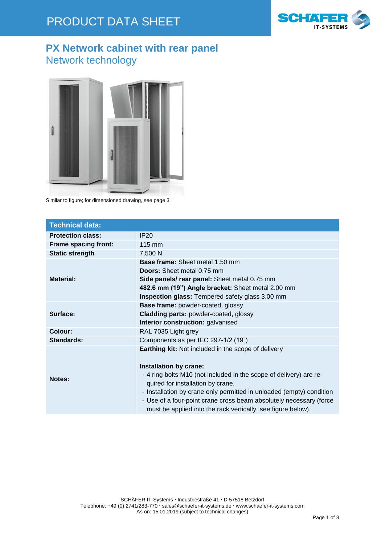

### **PX Network cabinet with rear panel** Network technology



Similar to figure; for dimensioned drawing, see page 3

| <b>Technical data:</b>      |                                                                                                                                                                                                                                                                                                                                                                                                               |  |  |  |  |
|-----------------------------|---------------------------------------------------------------------------------------------------------------------------------------------------------------------------------------------------------------------------------------------------------------------------------------------------------------------------------------------------------------------------------------------------------------|--|--|--|--|
| <b>Protection class:</b>    | IP20                                                                                                                                                                                                                                                                                                                                                                                                          |  |  |  |  |
| <b>Frame spacing front:</b> | $115 \text{ mm}$                                                                                                                                                                                                                                                                                                                                                                                              |  |  |  |  |
| <b>Static strength</b>      | 7,500 N                                                                                                                                                                                                                                                                                                                                                                                                       |  |  |  |  |
| <b>Material:</b>            | <b>Base frame:</b> Sheet metal 1.50 mm<br><b>Doors:</b> Sheet metal 0.75 mm<br>Side panels/ rear panel: Sheet metal 0.75 mm<br>482.6 mm (19") Angle bracket: Sheet metal 2.00 mm<br><b>Inspection glass:</b> Tempered safety glass 3.00 mm                                                                                                                                                                    |  |  |  |  |
| Surface:                    | <b>Base frame: powder-coated, glossy</b><br><b>Cladding parts: powder-coated, glossy</b><br>Interior construction: galvanised                                                                                                                                                                                                                                                                                 |  |  |  |  |
| Colour:                     | RAL 7035 Light grey                                                                                                                                                                                                                                                                                                                                                                                           |  |  |  |  |
| Standards:                  | Components as per IEC 297-1/2 (19")                                                                                                                                                                                                                                                                                                                                                                           |  |  |  |  |
| <b>Notes:</b>               | <b>Earthing kit:</b> Not included in the scope of delivery<br>Installation by crane:<br>- 4 ring bolts M10 (not included in the scope of delivery) are re-<br>quired for installation by crane.<br>- Installation by crane only permitted in unloaded (empty) condition<br>- Use of a four-point crane cross beam absolutely necessary (force<br>must be applied into the rack vertically, see figure below). |  |  |  |  |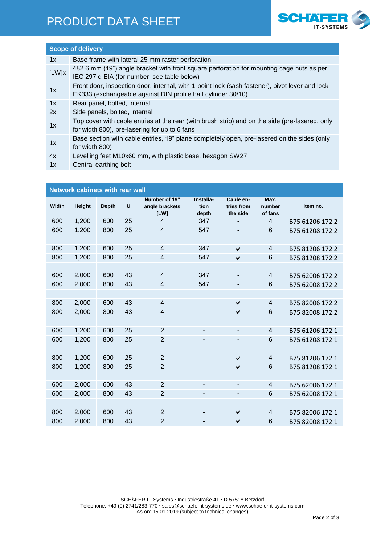## PRODUCT DATA SHEET



### **Scope of delivery** 1x Base frame with lateral 25 mm raster perforation [LW]x 482.6 mm (19") angle bracket with front square perforation for mounting cage nuts as per IEC 297 d EIA (for number, see table below) 1x Front door, inspection door, internal, with 1-point lock (sash fastener), pivot lever and lock EK333 (exchangeable against DIN profile half cylinder 30/10) 1x Rear panel, bolted, internal 2x Side panels, bolted, internal Top cover with cable entries at the rear (with brush strip) and on the side (pre-lasered, only for width 800), pre-lasering for up to 6 fans Base section with cable entries, 19" plane completely open, pre-lasered on the sides (only for width 800) 4x Levelling feet M10x60 mm, with plastic base, hexagon SW27

1x Central earthing bolt

| <b>Network cabinets with rear wall</b> |        |              |    |                                         |                            |                                     |                           |                 |  |  |
|----------------------------------------|--------|--------------|----|-----------------------------------------|----------------------------|-------------------------------------|---------------------------|-----------------|--|--|
| Width                                  | Height | <b>Depth</b> | U  | Number of 19"<br>angle brackets<br>[LW] | Installa-<br>tion<br>depth | Cable en-<br>tries from<br>the side | Max.<br>number<br>of fans | Item no.        |  |  |
| 600                                    | 1,200  | 600          | 25 | $\overline{4}$                          | 347                        |                                     | 4                         | B75 61206 172 2 |  |  |
| 600                                    | 1,200  | 800          | 25 | $\overline{4}$                          | 547                        |                                     | $6\phantom{1}6$           | B75 61208 172 2 |  |  |
|                                        |        |              |    |                                         |                            |                                     |                           |                 |  |  |
| 800                                    | 1,200  | 600          | 25 | $\overline{4}$                          | 347                        | $\checkmark$                        | $\overline{4}$            | B75 81206 172 2 |  |  |
| 800                                    | 1,200  | 800          | 25 | $\overline{4}$                          | 547                        | $\checkmark$                        | $6\phantom{1}$            | B75 81208 172 2 |  |  |
|                                        |        |              |    |                                         |                            |                                     |                           |                 |  |  |
| 600                                    | 2,000  | 600          | 43 | $\overline{4}$                          | 347                        |                                     | 4                         | B75 62006 172 2 |  |  |
| 600                                    | 2,000  | 800          | 43 | 4                                       | 547                        |                                     | $6\phantom{1}6$           | B75 62008 172 2 |  |  |
|                                        |        |              |    |                                         |                            |                                     |                           |                 |  |  |
| 800                                    | 2,000  | 600          | 43 | $\overline{4}$                          |                            | $\checkmark$                        | $\overline{4}$            | B75 82006 172 2 |  |  |
| 800                                    | 2,000  | 800          | 43 | 4                                       |                            | $\checkmark$                        | $6\phantom{1}6$           | B75 82008 172 2 |  |  |
|                                        |        |              |    |                                         |                            |                                     |                           |                 |  |  |
| 600                                    | 1,200  | 600          | 25 | $\overline{2}$                          |                            |                                     | 4                         | B75 61206 172 1 |  |  |
| 600                                    | 1,200  | 800          | 25 | $\overline{2}$                          |                            |                                     | $6\phantom{1}6$           | B75 61208 172 1 |  |  |
|                                        |        |              |    |                                         |                            |                                     |                           |                 |  |  |
| 800                                    | 1,200  | 600          | 25 | $\overline{2}$                          |                            | $\checkmark$                        | $\overline{4}$            | B75 81206 172 1 |  |  |
| 800                                    | 1,200  | 800          | 25 | $\overline{2}$                          |                            | $\checkmark$                        | 6                         | B75 81208 172 1 |  |  |
|                                        |        |              |    |                                         |                            |                                     |                           |                 |  |  |
| 600                                    | 2,000  | 600          | 43 | $\overline{c}$                          |                            |                                     | $\overline{4}$            | B75 62006 172 1 |  |  |
| 600                                    | 2,000  | 800          | 43 | $\overline{2}$                          |                            |                                     | 6                         | B75 62008 172 1 |  |  |
|                                        |        |              |    |                                         |                            |                                     |                           |                 |  |  |
| 800                                    | 2,000  | 600          | 43 | $\overline{2}$                          |                            | $\checkmark$                        | 4                         | B75 82006 172 1 |  |  |
| 800                                    | 2,000  | 800          | 43 | $\overline{2}$                          |                            | $\checkmark$                        | 6                         | B75 82008 172 1 |  |  |